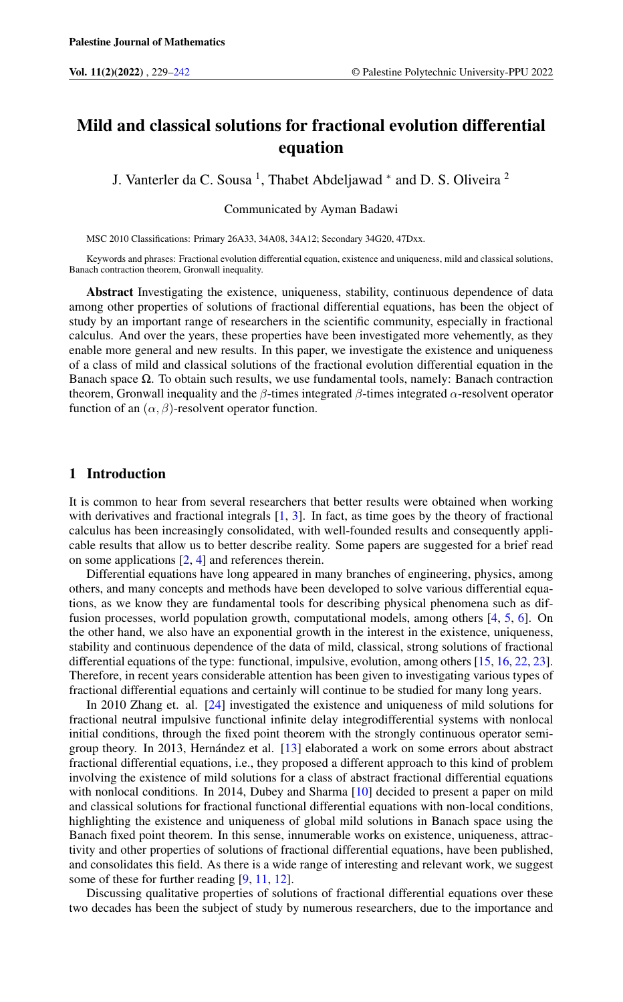# Mild and classical solutions for fractional evolution differential equation

J. Vanterler da C. Sousa<sup>1</sup>, Thabet Abdeljawad <sup>\*</sup> and D. S. Oliveira<sup>2</sup>

Communicated by Ayman Badawi

MSC 2010 Classifications: Primary 26A33, 34A08, 34A12; Secondary 34G20, 47Dxx.

Keywords and phrases: Fractional evolution differential equation, existence and uniqueness, mild and classical solutions, Banach contraction theorem, Gronwall inequality.

Abstract Investigating the existence, uniqueness, stability, continuous dependence of data among other properties of solutions of fractional differential equations, has been the object of study by an important range of researchers in the scientific community, especially in fractional calculus. And over the years, these properties have been investigated more vehemently, as they enable more general and new results. In this paper, we investigate the existence and uniqueness of a class of mild and classical solutions of the fractional evolution differential equation in the Banach space  $\Omega$ . To obtain such results, we use fundamental tools, namely: Banach contraction theorem, Gronwall inequality and the  $\beta$ -times integrated  $\beta$ -times integrated  $\alpha$ -resolvent operator function of an  $(\alpha, \beta)$ -resolvent operator function.

## 1 Introduction

It is common to hear from several researchers that better results were obtained when working with derivatives and fractional integrals  $[1, 3]$  $[1, 3]$  $[1, 3]$ . In fact, as time goes by the theory of fractional calculus has been increasingly consolidated, with well-founded results and consequently applicable results that allow us to better describe reality. Some papers are suggested for a brief read on some applications [\[2,](#page-12-3) [4\]](#page-12-4) and references therein.

Differential equations have long appeared in many branches of engineering, physics, among others, and many concepts and methods have been developed to solve various differential equations, as we know they are fundamental tools for describing physical phenomena such as diffusion processes, world population growth, computational models, among others [\[4,](#page-12-4) [5,](#page-12-5) [6\]](#page-12-6). On the other hand, we also have an exponential growth in the interest in the existence, uniqueness, stability and continuous dependence of the data of mild, classical, strong solutions of fractional differential equations of the type: functional, impulsive, evolution, among others [\[15,](#page-13-0) [16,](#page-13-1) [22,](#page-13-2) [23\]](#page-13-3). Therefore, in recent years considerable attention has been given to investigating various types of fractional differential equations and certainly will continue to be studied for many long years.

In 2010 Zhang et. al. [\[24\]](#page-13-4) investigated the existence and uniqueness of mild solutions for fractional neutral impulsive functional infinite delay integrodifferential systems with nonlocal initial conditions, through the fixed point theorem with the strongly continuous operator semigroup theory. In 2013, Hernández et al. [\[13\]](#page-13-5) elaborated a work on some errors about abstract fractional differential equations, i.e., they proposed a different approach to this kind of problem involving the existence of mild solutions for a class of abstract fractional differential equations with nonlocal conditions. In 2014, Dubey and Sharma [\[10\]](#page-13-6) decided to present a paper on mild and classical solutions for fractional functional differential equations with non-local conditions, highlighting the existence and uniqueness of global mild solutions in Banach space using the Banach fixed point theorem. In this sense, innumerable works on existence, uniqueness, attractivity and other properties of solutions of fractional differential equations, have been published, and consolidates this field. As there is a wide range of interesting and relevant work, we suggest some of these for further reading [\[9,](#page-13-7) [11,](#page-13-8) [12\]](#page-13-9).

Discussing qualitative properties of solutions of fractional differential equations over these two decades has been the subject of study by numerous researchers, due to the importance and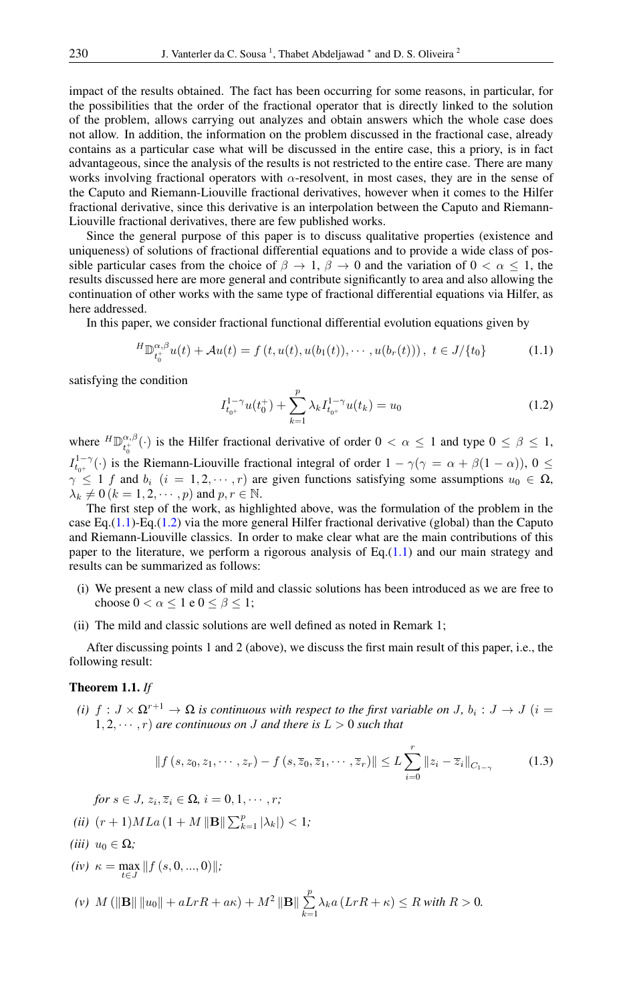impact of the results obtained. The fact has been occurring for some reasons, in particular, for the possibilities that the order of the fractional operator that is directly linked to the solution of the problem, allows carrying out analyzes and obtain answers which the whole case does not allow. In addition, the information on the problem discussed in the fractional case, already contains as a particular case what will be discussed in the entire case, this a priory, is in fact advantageous, since the analysis of the results is not restricted to the entire case. There are many works involving fractional operators with  $\alpha$ -resolvent, in most cases, they are in the sense of the Caputo and Riemann-Liouville fractional derivatives, however when it comes to the Hilfer fractional derivative, since this derivative is an interpolation between the Caputo and Riemann-Liouville fractional derivatives, there are few published works.

Since the general purpose of this paper is to discuss qualitative properties (existence and uniqueness) of solutions of fractional differential equations and to provide a wide class of possible particular cases from the choice of  $\beta \to 1$ ,  $\beta \to 0$  and the variation of  $0 < \alpha \le 1$ , the results discussed here are more general and contribute significantly to area and also allowing the continuation of other works with the same type of fractional differential equations via Hilfer, as here addressed.

In this paper, we consider fractional functional differential evolution equations given by

$$
{}^{H}\mathbb{D}_{t_{0}^{+}}^{\alpha,\beta}u(t) + \mathcal{A}u(t) = f(t, u(t), u(b_{1}(t)), \cdots, u(b_{r}(t))), \ t \in J/\{t_{0}\}
$$
 (1.1)

satisfying the condition

<span id="page-1-1"></span><span id="page-1-0"></span>
$$
I_{t_{0^{+}}}^{1-\gamma}u(t_{0}^{+}) + \sum_{k=1}^{p} \lambda_{k} I_{t_{0^{+}}}^{1-\gamma}u(t_{k}) = u_{0}
$$
\n(1.2)

where  ${}^{H}\mathbb{D}_{t}^{\alpha,\beta}$  $\begin{cases} \alpha, \beta \\ t_0^+ \end{cases}$  is the Hilfer fractional derivative of order  $0 < \alpha \leq 1$  and type  $0 \leq \beta \leq 1$ ,  $I_{t_{0^+}}^{1-\gamma}(\cdot)$  is the Riemann-Liouville fractional integral of order  $1-\gamma(\gamma = \alpha + \beta(1-\alpha))$ ,  $0 \leq$  $\gamma \leq 1$  f and  $b_i$   $(i = 1, 2, \dots, r)$  are given functions satisfying some assumptions  $u_0 \in \Omega$ ,  $\lambda_k \neq 0$   $(k = 1, 2, \dots, p)$  and  $p, r \in \mathbb{N}$ .

The first step of the work, as highlighted above, was the formulation of the problem in the case Eq.[\(1.1\)](#page-1-0)-Eq.[\(1.2\)](#page-1-1) via the more general Hilfer fractional derivative (global) than the Caputo and Riemann-Liouville classics. In order to make clear what are the main contributions of this paper to the literature, we perform a rigorous analysis of  $Eq.(1.1)$  $Eq.(1.1)$  and our main strategy and results can be summarized as follows:

- (i) We present a new class of mild and classic solutions has been introduced as we are free to choose  $0 < \alpha \leq 1$  e  $0 \leq \beta \leq 1$ ;
- (ii) The mild and classic solutions are well defined as noted in Remark 1;

After discussing points 1 and 2 (above), we discuss the first main result of this paper, i.e., the following result:

#### Theorem 1.1. *If*

*(i)*  $f: J \times \Omega^{r+1} \to \Omega$  *is continuous with respect to the first variable on J*,  $b_i: J \to J$   $(i =$  $1, 2, \dots, r$  *are continuous on J and there is*  $L > 0$  *such that* 

$$
|| f (s, z_0, z_1, \cdots, z_r) - f (s, \overline{z}_0, \overline{z}_1, \cdots, \overline{z}_r) || \le L \sum_{i=0}^r ||z_i - \overline{z}_i||_{C_{1-\gamma}}
$$
(1.3)

 $for s \in J$ ,  $z_i$ ,  $\overline{z}_i \in \Omega$ ,  $i = 0, 1, \cdots, r$ ;

*(ii)*  $(r+1)MLa(1+M \|\mathbf{B}\| \sum_{k=1}^{p} |\lambda_k|) < 1$ ;

 $(iii)$   $u_0 \in \Omega$ ;

 $(iv)$   $\kappa = \max_{t \in J} ||f(s, 0, ..., 0)||;$ 

(v) 
$$
M(||\mathbf{B}|| ||u_0|| + aLrR + a\kappa) + M^2 ||\mathbf{B}|| \sum_{k=1}^p \lambda_k a (LrR + \kappa) \le R \text{ with } R > 0.
$$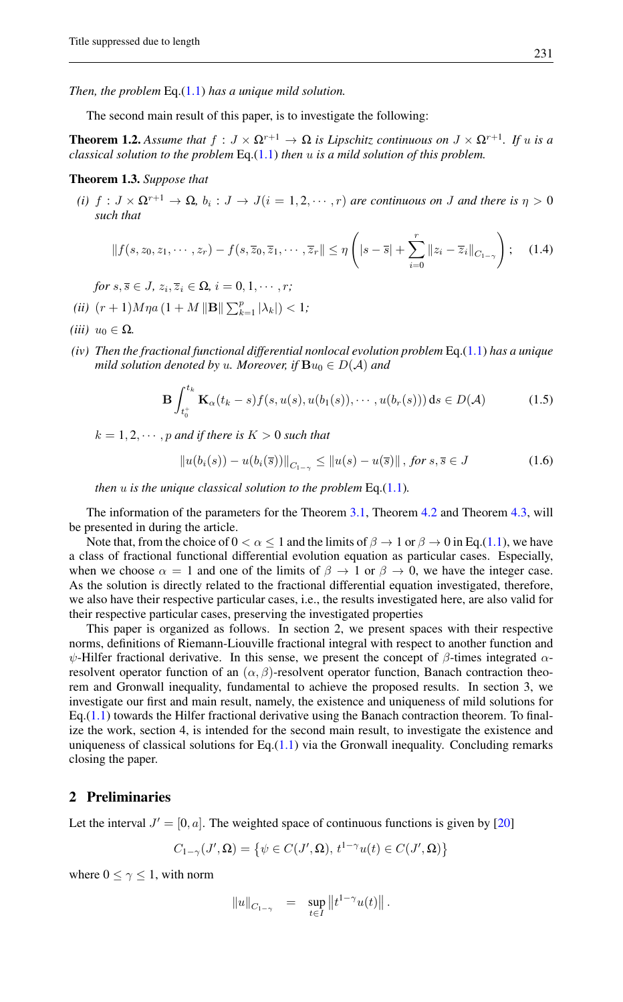*Then, the problem* Eq.[\(1.1\)](#page-1-0) *has a unique mild solution.*

The second main result of this paper, is to investigate the following:

**Theorem 1.2.** Assume that  $f: J \times \Omega^{r+1} \to \Omega$  is Lipschitz continuous on  $J \times \Omega^{r+1}$ . If u is a *classical solution to the problem* Eq.[\(1.1\)](#page-1-0) *then* u *is a mild solution of this problem.*

### Theorem 1.3. *Suppose that*

*(i)*  $f: J \times \Omega^{r+1} \to \Omega$ ,  $b_i: J \to J(i = 1, 2, \dots, r)$  *are continuous on J and there is*  $\eta > 0$ *such that*

$$
||f(s, z_0, z_1, \cdots, z_r) - f(s, \overline{z}_0, \overline{z}_1, \cdots, \overline{z}_r|| \le \eta \left( |s - \overline{s}| + \sum_{i=0}^r ||z_i - \overline{z}_i||_{C_{1-\gamma}} \right); \quad (1.4)
$$

 $for s, \overline{s} \in J$ ,  $z_i, \overline{z}_i \in \Omega$ ,  $i = 0, 1, \cdots, r$ ;

- *(ii)*  $(r+1)M\eta a (1 + M \|\mathbf{B}\| \sum_{k=1}^{p} |\lambda_k|) < 1$ ;
- *(iii)*  $u_0 \in \Omega$ .
- *(iv) Then the fractional functional differential nonlocal evolution problem* Eq.[\(1.1\)](#page-1-0) *has a unique mild solution denoted by u. Moreover, if*  $\mathbf{B}u_0 \in D(\mathcal{A})$  *and*

$$
\mathbf{B} \int_{t_0^+}^{t_k} \mathbf{K}_{\alpha}(t_k - s) f(s, u(s), u(b_1(s)), \cdots, u(b_r(s))) \, ds \in D(\mathcal{A}) \tag{1.5}
$$

 $k = 1, 2, \dots, p$  *and if there is*  $K > 0$  *such that* 

$$
||u(b_i(s)) - u(b_i(\bar{s}))||_{C_{1-\gamma}} \le ||u(s) - u(\bar{s})|| \text{, for } s, \bar{s} \in J
$$
\n(1.6)

*then* u *is the unique classical solution to the problem* Eq.[\(1.1\)](#page-1-0)*.*

The information of the parameters for the Theorem [3.1,](#page-6-0) Theorem [4.2](#page-8-0) and Theorem [4.3,](#page-9-0) will be presented in during the article.

Note that, from the choice of  $0 < \alpha \le 1$  and the limits of  $\beta \to 1$  or  $\beta \to 0$  in Eq.[\(1.1\)](#page-1-0), we have a class of fractional functional differential evolution equation as particular cases. Especially, when we choose  $\alpha = 1$  and one of the limits of  $\beta \to 1$  or  $\beta \to 0$ , we have the integer case. As the solution is directly related to the fractional differential equation investigated, therefore, we also have their respective particular cases, i.e., the results investigated here, are also valid for their respective particular cases, preserving the investigated properties

This paper is organized as follows. In section 2, we present spaces with their respective norms, definitions of Riemann-Liouville fractional integral with respect to another function and  $ψ$ -Hilfer fractional derivative. In this sense, we present the concept of  $β$ -times integrated  $α$ resolvent operator function of an  $(\alpha, \beta)$ -resolvent operator function, Banach contraction theorem and Gronwall inequality, fundamental to achieve the proposed results. In section 3, we investigate our first and main result, namely, the existence and uniqueness of mild solutions for  $Eq.(1.1)$  $Eq.(1.1)$  towards the Hilfer fractional derivative using the Banach contraction theorem. To finalize the work, section 4, is intended for the second main result, to investigate the existence and uniqueness of classical solutions for Eq. $(1.1)$  via the Gronwall inequality. Concluding remarks closing the paper.

## 2 Preliminaries

Let the interval  $J' = [0, a]$ . The weighted space of continuous functions is given by [\[20\]](#page-13-10)

$$
C_{1-\gamma}(J',\Omega) = \left\{ \psi \in C(J',\Omega), \, t^{1-\gamma}u(t) \in C(J',\Omega) \right\}
$$

where  $0 \leq \gamma \leq 1$ , with norm

$$
||u||_{C_{1-\gamma}} = \sup_{t \in I} ||t^{1-\gamma}u(t)||.
$$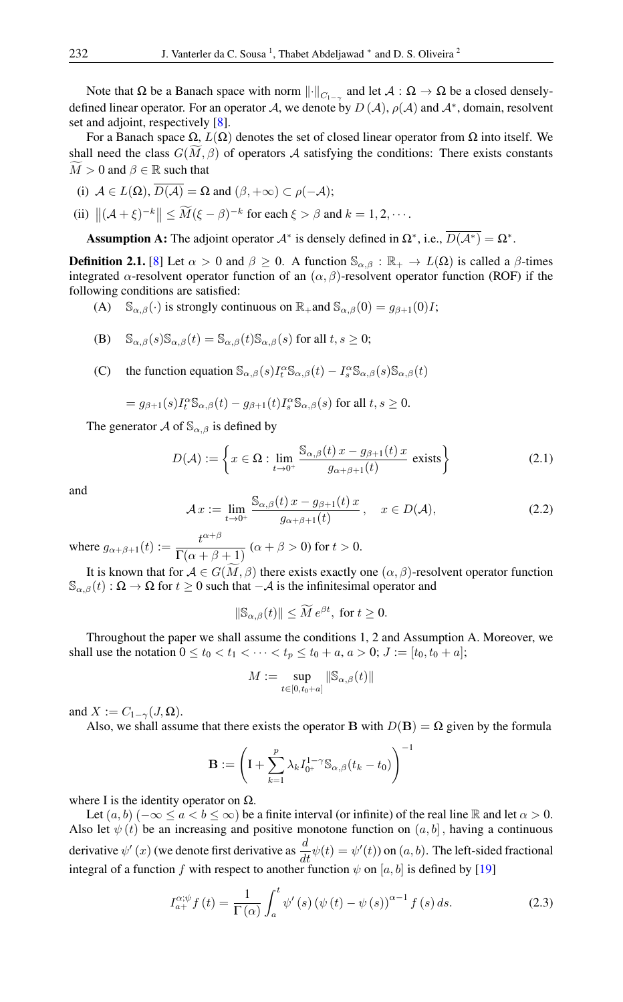Note that Ω be a Banach space with norm  $\|\cdot\|_{C_{1-\gamma}}$  and let  $\mathcal{A}:\Omega\to\Omega$  be a closed denselydefined linear operator. For an operator A, we denote by  $D(\mathcal{A}), \rho(\mathcal{A})$  and  $\mathcal{A}^*$ , domain, resolvent set and adjoint, respectively [\[8\]](#page-12-7).

For a Banach space  $\Omega$ ,  $L(\Omega)$  denotes the set of closed linear operator from  $\Omega$  into itself. We shall need the class  $G(\tilde{M}, \beta)$  of operators A satisfying the conditions: There exists constants  $M > 0$  and  $\beta \in \mathbb{R}$  such that

(i) 
$$
\mathcal{A} \in L(\Omega), D(\mathcal{A}) = \Omega
$$
 and  $(\beta, +\infty) \subset \rho(-\mathcal{A});$ 

(ii) 
$$
\left\| (\mathcal{A} + \xi)^{-k} \right\| \le \widetilde{M} (\xi - \beta)^{-k} \text{ for each } \xi > \beta \text{ and } k = 1, 2, \cdots.
$$

Assumption A: The adjoint operator  $A^*$  is densely defined in  $\Omega^*$ , i.e.,  $D(A^*) = \Omega^*$ .

**Definition 2.1.** [\[8\]](#page-12-7) Let  $\alpha > 0$  and  $\beta \ge 0$ . A function  $\mathbb{S}_{\alpha,\beta} : \mathbb{R}_+ \to L(\Omega)$  is called a  $\beta$ -times integrated  $\alpha$ -resolvent operator function of an  $(\alpha, \beta)$ -resolvent operator function (ROF) if the following conditions are satisfied:

- (A)  $\mathbb{S}_{\alpha,\beta}(\cdot)$  is strongly continuous on  $\mathbb{R}_+$  and  $\mathbb{S}_{\alpha,\beta}(0) = g_{\beta+1}(0)I$ ;
- (B)  $\mathbb{S}_{\alpha,\beta}(s)\mathbb{S}_{\alpha,\beta}(t) = \mathbb{S}_{\alpha,\beta}(t)\mathbb{S}_{\alpha,\beta}(s)$  for all  $t, s \geq 0$ ;
- (C) the function equation  $\mathbb{S}_{\alpha,\beta}(s)I_t^{\alpha}\mathbb{S}_{\alpha,\beta}(t) I_s^{\alpha}\mathbb{S}_{\alpha,\beta}(s)\mathbb{S}_{\alpha,\beta}(t)$

$$
= g_{\beta+1}(s)I_t^{\alpha} \mathbb{S}_{\alpha,\beta}(t) - g_{\beta+1}(t)I_s^{\alpha} \mathbb{S}_{\alpha,\beta}(s)
$$
 for all  $t, s \ge 0$ .

The generator A of  $\mathcal{S}_{\alpha,\beta}$  is defined by

$$
D(\mathcal{A}) := \left\{ x \in \Omega : \lim_{t \to 0^+} \frac{\mathbb{S}_{\alpha,\beta}(t) x - g_{\beta+1}(t) x}{g_{\alpha+\beta+1}(t)} \text{ exists} \right\}
$$
(2.1)

and

$$
\mathcal{A}\,x := \lim_{t \to 0^+} \frac{\mathbb{S}_{\alpha,\beta}(t)\,x - g_{\beta+1}(t)\,x}{g_{\alpha+\beta+1}(t)}\,, \quad x \in D(\mathcal{A}),\tag{2.2}
$$

where  $g_{\alpha+\beta+1}(t) := \frac{t^{\alpha+\beta}}{\Gamma(\alpha+\beta)}$  $\frac{\sigma}{\Gamma(\alpha+\beta+1)}$   $(\alpha+\beta>0)$  for  $t>0$ .

It is known that for  $A \in G(\widetilde{M}, \beta)$  there exists exactly one  $(\alpha, \beta)$ -resolvent operator function  $\mathbb{S}_{\alpha,\beta}(t): \Omega \to \Omega$  for  $t \geq 0$  such that  $-\mathcal{A}$  is the infinitesimal operator and

$$
\|\mathbb{S}_{\alpha,\beta}(t)\| \le \widetilde{M} e^{\beta t}, \text{ for } t \ge 0.
$$

Throughout the paper we shall assume the conditions 1, 2 and Assumption A. Moreover, we shall use the notation  $0 \le t_0 < t_1 < \cdots < t_p \le t_0 + a$ ,  $a > 0$ ;  $J := [t_0, t_0 + a]$ ;

$$
M:=\sup_{t\in[0,t_0+a]}\|\mathbb S_{\alpha,\beta}(t)\|
$$

and  $X := C_{1-\gamma}(J,\Omega)$ .

Also, we shall assume that there exists the operator B with  $D(\mathbf{B}) = \Omega$  given by the formula

$$
\mathbf{B}:=\left(\mathrm{I}+\sum_{k=1}^p\lambda_k I_{0^+}^{1-\gamma}\mathbb{S}_{\alpha,\beta}(t_k-t_0)\right)^-
$$

where I is the identity operator on  $\Omega$ .

Let  $(a, b)$  ( $-\infty \le a < b \le \infty$ ) be a finite interval (or infinite) of the real line R and let  $\alpha > 0$ . Also let  $\psi$  (t) be an increasing and positive monotone function on  $(a, b]$ , having a continuous derivative  $\psi'(x)$  (we denote first derivative as  $\frac{d}{dt}\psi(t) = \psi'(t)$ ) on  $(a, b)$ . The left-sided fractional integral of a function f with respect to another function  $\psi$  on [a, b] is defined by [\[19\]](#page-13-11)

$$
I_{a+}^{\alpha;\psi}f(t) = \frac{1}{\Gamma(\alpha)} \int_{a}^{t} \psi'(s) \left(\psi(t) - \psi(s)\right)^{\alpha-1} f(s) ds.
$$
 (2.3)

!<sup>−</sup><sup>1</sup>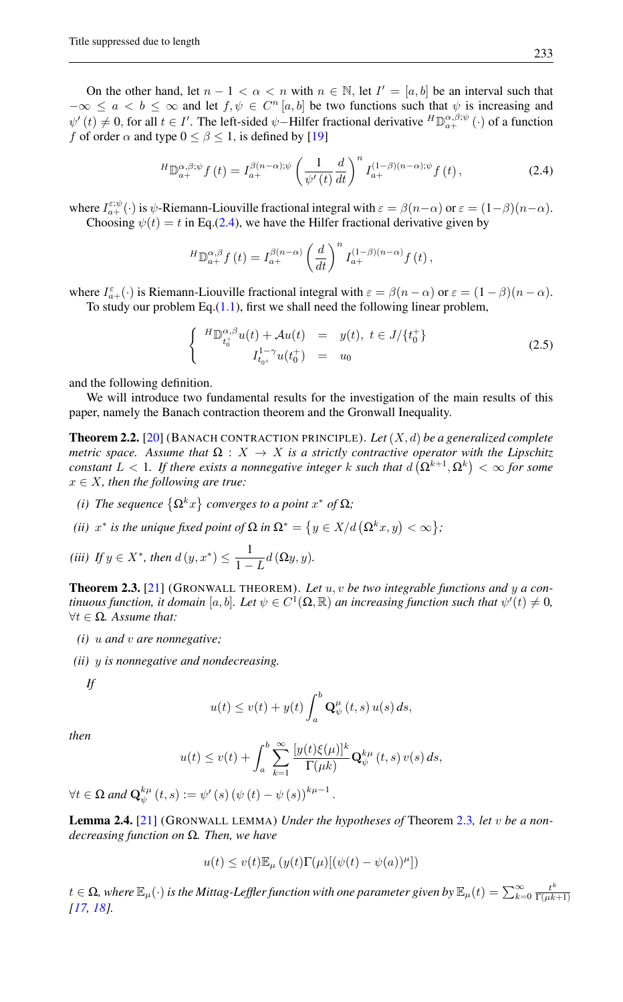On the other hand, let  $n - 1 < \alpha < n$  with  $n \in \mathbb{N}$ , let  $I' = [a, b]$  be an interval such that  $-\infty \le a < b \le \infty$  and let  $f, \psi \in C^n[a, b]$  be two functions such that  $\psi$  is increasing and  $\psi'(t) \neq 0$ , for all  $t \in I'$ . The left-sided  $\psi$ -Hilfer fractional derivative  ${}^H\mathbb{D}_{a+}^{\alpha,\beta;\psi}(\cdot)$  of a function f of order  $\alpha$  and type  $0 \le \beta \le 1$ , is defined by [\[19\]](#page-13-11)

<span id="page-4-0"></span>
$$
{}^{H}\mathbb{D}_{a+}^{\alpha,\beta;\psi}f(t) = I_{a+}^{\beta(n-\alpha);\psi} \left(\frac{1}{\psi'(t)}\frac{d}{dt}\right)^{n} I_{a+}^{(1-\beta)(n-\alpha);\psi}f(t),\tag{2.4}
$$

where  $I_{a+}^{\varepsilon;\psi}(\cdot)$  is  $\psi$ -Riemann-Liouville fractional integral with  $\varepsilon = \beta(n-\alpha)$  or  $\varepsilon = (1-\beta)(n-\alpha)$ . Choosing  $\psi(t) = t$  in Eq.[\(2.4\)](#page-4-0), we have the Hilfer fractional derivative given by

$$
{}^{H}\mathbb{D}_{a+}^{\alpha,\beta}f(t) = I_{a+}^{\beta(n-\alpha)}\left(\frac{d}{dt}\right)^{n}I_{a+}^{(1-\beta)(n-\alpha)}f(t),
$$

where  $I_{a+}^{\varepsilon}(\cdot)$  is Riemann-Liouville fractional integral with  $\varepsilon = \beta(n-\alpha)$  or  $\varepsilon = (1-\beta)(n-\alpha)$ . To study our problem Eq. $(1.1)$ , first we shall need the following linear problem,

<span id="page-4-2"></span>
$$
\begin{cases}\nH \mathbb{D}_{t_0^+}^{\alpha,\beta} u(t) + \mathcal{A}u(t) &= y(t), \ t \in J/\{t_0^+\} \\
I_{t_0^+}^{1-\gamma} u(t_0^+) &= u_0\n\end{cases} \tag{2.5}
$$

and the following definition.

We will introduce two fundamental results for the investigation of the main results of this paper, namely the Banach contraction theorem and the Gronwall Inequality.

<span id="page-4-3"></span>Theorem 2.2. [\[20\]](#page-13-10) (BANACH CONTRACTION PRINCIPLE). *Let*(X, d) *be a generalized complete metric space. Assume that*  $\Omega: X \to X$  *is a strictly contractive operator with the Lipschitz constant*  $L < 1$ *. If there exists a nonnegative integer* k such that  $d\left(\Omega^{k+1}, \Omega^k\right) < \infty$  for some  $x \in X$ *, then the following are true:* 

- (i) The sequence  $\left\{ \Omega^k x \right\}$  converges to a point  $x^*$  of  $\Omega$ ;
- (*ii*)  $x^*$  *is the unique fixed point of*  $\Omega$  *in*  $\Omega^* = \big\{y \in X/d\left(\Omega^k x, y\right) < \infty\big\}$ ;

(iii) If 
$$
y \in X^*
$$
, then  $d(y, x^*) \leq \frac{1}{1-L}d(\Omega y, y)$ .

<span id="page-4-1"></span>Theorem 2.3. [\[21\]](#page-13-12) (GRONWALL THEOREM). *Let* u, v *be two integrable functions and* y *a continuous function, it domain*  $[a,b]$ *. Let*  $\psi \in C^1(\Omega,\mathbb{R})$  *an increasing function such that*  $\psi'(t) \neq 0$ *,* ∀t ∈ Ω*. Assume that:*

- *(i)* u *and* v *are nonnegative;*
- *(ii)* y *is nonnegative and nondecreasing.*

*If*

$$
u(t) \le v(t) + y(t) \int_a^b \mathbf{Q}_{\psi}^{\mu}(t,s) u(s) ds,
$$

*then*

$$
u(t) \le v(t) + \int_a^b \sum_{k=1}^\infty \frac{[y(t)\xi(\mu)]^k}{\Gamma(\mu k)} \mathbf{Q}^{k\mu}_{\psi}(t,s) v(s) ds,
$$

 $\forall t \in \Omega \text{ and } \mathbf{Q}_{\psi}^{k\mu}(t,s) := \psi'(s) (\psi(t) - \psi(s))^{k\mu-1}.$ 

<span id="page-4-4"></span>Lemma 2.4. [\[21\]](#page-13-12) (GRONWALL LEMMA) *Under the hypotheses of* Theorem [2.3](#page-4-1)*, let* v *be a nondecreasing function on* Ω*. Then, we have*

$$
u(t) \le v(t) \mathbb{E}_{\mu} \left( y(t) \Gamma(\mu) [(\psi(t) - \psi(a))^{\mu}] \right)
$$

 $t\in\Omega$ , where  $\mathbb{E}_\mu(\cdot)$  is the Mittag-Leffler function with one parameter given by  $\mathbb{E}_\mu(t)=\sum_{k=0}^\infty\frac{t^k}{\Gamma(\mu k)}$  $\Gamma(\mu k+1)$ *[\[17,](#page-13-13) [18\]](#page-13-14).*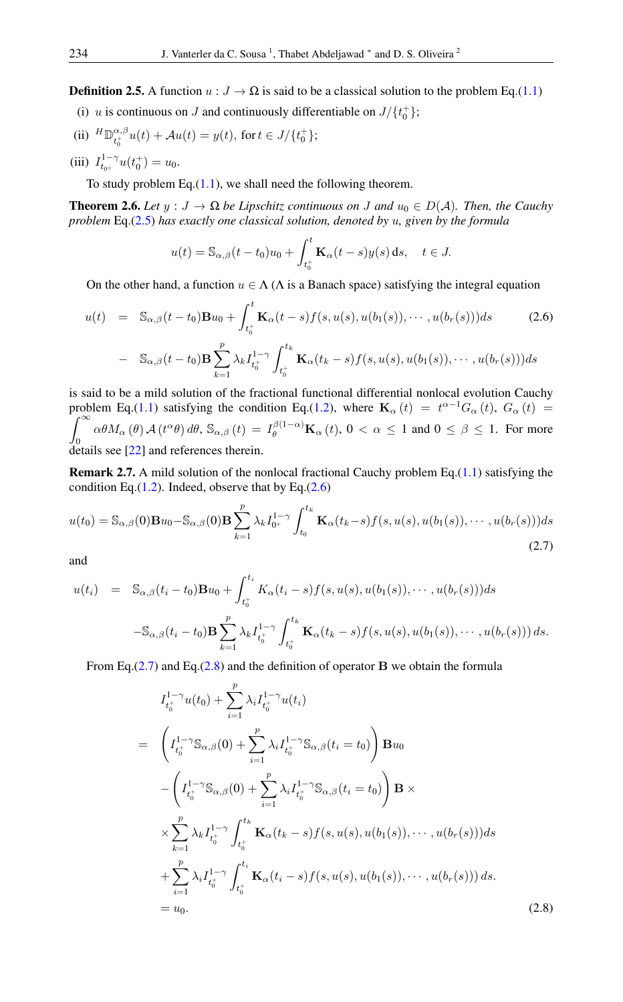**Definition 2.5.** A function  $u : J \to \Omega$  is said to be a classical solution to the problem Eq.[\(1.1\)](#page-1-0)

- (i) u is continuous on J and continuously differentiable on  $J/\lbrace t_0^+ \rbrace$ ;
- (ii)  ${}^H\mathbb{D}_{t^+}^{\alpha,\beta}$  $t_0^{\alpha,\beta}u(t) + \mathcal{A}u(t) = y(t), \text{ for } t \in J/\{t_0^+\};$
- (iii)  $I_{t_{0+}}^{1-\gamma}u(t_0^+) = u_0.$

To study problem Eq. $(1.1)$ , we shall need the following theorem.

<span id="page-5-3"></span>**Theorem 2.6.** Let  $y : J \to \Omega$  be Lipschitz continuous on J and  $u_0 \in D(\mathcal{A})$ . Then, the Cauchy *problem* Eq.[\(2.5\)](#page-4-2) *has exactly one classical solution, denoted by* u*, given by the formula*

$$
u(t) = \mathbb{S}_{\alpha,\beta}(t-t_0)u_0 + \int_{t_0^+}^t \mathbf{K}_{\alpha}(t-s)y(s) ds, \quad t \in J.
$$

On the other hand, a function  $u \in \Lambda(\Lambda)$  is a Banach space) satisfying the integral equation

<span id="page-5-0"></span>
$$
u(t) = \mathbb{S}_{\alpha,\beta}(t-t_0) \mathbf{B} u_0 + \int_{t_0^+}^t \mathbf{K}_{\alpha}(t-s) f(s, u(s), u(b_1(s)), \cdots, u(b_r(s))) ds \qquad (2.6)
$$

$$
- \mathbb{S}_{\alpha,\beta}(t-t_0) \mathbf{B} \sum_{k=1}^p \lambda_k I_{t_0^+}^{1-\gamma} \int_{t_0^+}^{t_k} \mathbf{K}_{\alpha}(t_k-s) f(s, u(s), u(b_1(s)), \cdots, u(b_r(s))) ds
$$

is said to be a mild solution of the fractional functional differential nonlocal evolution Cauchy problem Eq.[\(1.1\)](#page-1-0) satisfying the condition Eq.[\(1.2\)](#page-1-1), where  $\mathbf{K}_{\alpha}(t) = t^{\alpha-1}G_{\alpha}(t)$ ,  $G_{\alpha}(t) =$  $\int_0^\infty$  $J_0$ <br>details see [\[22\]](#page-13-2) and references therein.  $\alpha\theta M_{\alpha}(\theta) \mathcal{A}(t^{\alpha}\theta) d\theta$ ,  $\mathbb{S}_{\alpha,\beta}(t) = I_{\theta}^{\beta(1-\alpha)}\mathbf{K}_{\alpha}(t)$ ,  $0 < \alpha \le 1$  and  $0 \le \beta \le 1$ . For more

<span id="page-5-4"></span><span id="page-5-1"></span>**Remark 2.7.** A mild solution of the nonlocal fractional Cauchy problem Eq.[\(1.1\)](#page-1-0) satisfying the condition Eq. $(1.2)$ . Indeed, observe that by Eq. $(2.6)$ 

$$
u(t_0) = \mathbb{S}_{\alpha,\beta}(0)\mathbf{B}u_0 - \mathbb{S}_{\alpha,\beta}(0)\mathbf{B}\sum_{k=1}^p \lambda_k I_{0^+}^{1-\gamma} \int_{t_0}^{t_k} \mathbf{K}_{\alpha}(t_k-s) f(s, u(s), u(b_1(s)), \cdots, u(b_r(s)))ds
$$
\n(2.7)

and

<span id="page-5-2"></span>
$$
u(t_i) = \mathbb{S}_{\alpha,\beta}(t_i - t_0) \mathbf{B} u_0 + \int_{t_0^+}^{t_i} K_{\alpha}(t_i - s) f(s, u(s), u(b_1(s)), \cdots, u(b_r(s))) ds
$$
  

$$
-\mathbb{S}_{\alpha,\beta}(t_i - t_0) \mathbf{B} \sum_{k=1}^p \lambda_k I_{t_0^+}^{1-\gamma} \int_{t_0^+}^{t_k} \mathbf{K}_{\alpha}(t_k - s) f(s, u(s), u(b_1(s)), \cdots, u(b_r(s))) ds.
$$

From Eq. $(2.7)$  and Eq. $(2.8)$  and the definition of operator B we obtain the formula

$$
I_{t_0^+}^{1-\gamma}u(t_0) + \sum_{i=1}^p \lambda_i I_{t_0^+}^{1-\gamma}u(t_i)
$$
  
\n
$$
= \left(I_{t_0^+}^{1-\gamma} \mathbb{S}_{\alpha,\beta}(0) + \sum_{i=1}^p \lambda_i I_{t_0^+}^{1-\gamma} \mathbb{S}_{\alpha,\beta}(t_i = t_0)\right) \mathbf{B} u_0
$$
  
\n
$$
- \left(I_{t_0^+}^{1-\gamma} \mathbb{S}_{\alpha,\beta}(0) + \sum_{i=1}^p \lambda_i I_{t_0^+}^{1-\gamma} \mathbb{S}_{\alpha,\beta}(t_i = t_0)\right) \mathbf{B} \times
$$
  
\n
$$
\times \sum_{k=1}^p \lambda_k I_{t_0^+}^{1-\gamma} \int_{t_0^+}^{t_k} \mathbf{K}_{\alpha}(t_k - s) f(s, u(s), u(b_1(s)), \cdots, u(b_r(s))) ds
$$
  
\n
$$
+ \sum_{i=1}^p \lambda_i I_{t_0^+}^{1-\gamma} \int_{t_0^+}^{t_i} \mathbf{K}_{\alpha}(t_i - s) f(s, u(s), u(b_1(s)), \cdots, u(b_r(s))) ds.
$$
  
\n
$$
= u_0.
$$
 (2.8)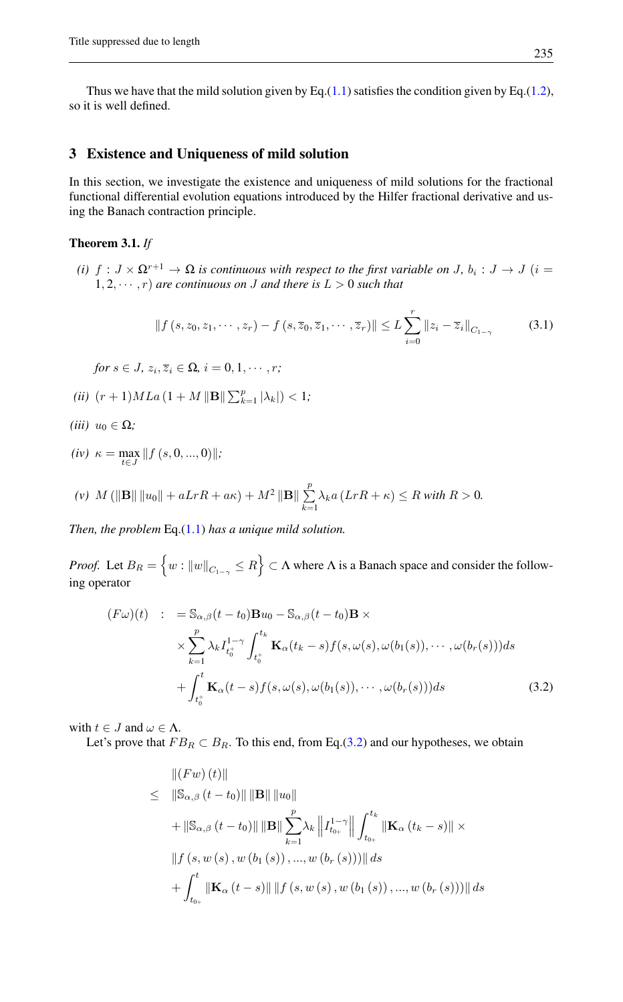Thus we have that the mild solution given by Eq.[\(1.1\)](#page-1-0) satisfies the condition given by Eq.[\(1.2\)](#page-1-1), so it is well defined.

# 3 Existence and Uniqueness of mild solution

In this section, we investigate the existence and uniqueness of mild solutions for the fractional functional differential evolution equations introduced by the Hilfer fractional derivative and using the Banach contraction principle.

## <span id="page-6-0"></span>Theorem 3.1. *If*

*(i)*  $f: J \times \Omega^{r+1} \to \Omega$  *is continuous with respect to the first variable on J,*  $b_i: J \to J$   $(i =$  $1, 2, \dots, r$  *are continuous on J and there is*  $L > 0$  *such that* 

$$
||f(s,z_0,z_1,\dots,z_r)-f(s,\overline{z}_0,\overline{z}_1,\dots,\overline{z}_r)|| \leq L\sum_{i=0}^r ||z_i-\overline{z}_i||_{C_{1-\gamma}}
$$
(3.1)

 $for s \in J$ ,  $z_i$ ,  $\overline{z}_i \in \Omega$ ,  $i = 0, 1, \cdots, r$ ;

- *(ii)*  $(r+1)MLa(1+M||\mathbf{B}||\sum_{k=1}^{p} |\lambda_k|) < 1;$
- *(iii)*  $u_0 \in \Omega$ *;*
- $(iv)$   $\kappa = \max_{t \in J} ||f(s, 0, ..., 0)||;$

(v) 
$$
M(||\mathbf{B}|| ||u_0|| + aLrR + a\kappa) + M^2 ||\mathbf{B}|| \sum_{k=1}^p \lambda_k a (LrR + \kappa) \le R \text{ with } R > 0.
$$

*Then, the problem* Eq.[\(1.1\)](#page-1-0) *has a unique mild solution.*

*Proof.* Let  $B_R = \{ w : ||w||_{C_{1-\gamma}} \le R \} \subset \Lambda$  where  $\Lambda$  is a Banach space and consider the following operator

<span id="page-6-1"></span>
$$
(F\omega)(t) : = \mathbb{S}_{\alpha,\beta}(t-t_0)\mathbf{B}u_0 - \mathbb{S}_{\alpha,\beta}(t-t_0)\mathbf{B} \times
$$
  
 
$$
\times \sum_{k=1}^p \lambda_k I_{t_0^+}^{1-\gamma} \int_{t_0^+}^{t_k} \mathbf{K}_{\alpha}(t_k-s) f(s, \omega(s), \omega(b_1(s)), \cdots, \omega(b_r(s))) ds
$$
  
+ 
$$
\int_{t_0^+}^t \mathbf{K}_{\alpha}(t-s) f(s, \omega(s), \omega(b_1(s)), \cdots, \omega(b_r(s))) ds
$$
(3.2)

with  $t \in J$  and  $\omega \in \Lambda$ .

Let's prove that  $FB_R \subset B_R$ . To this end, from Eq.[\(3.2\)](#page-6-1) and our hypotheses, we obtain

$$
\| (Fw) (t) \|
$$
  
\n
$$
\leq \| \mathbb{S}_{\alpha,\beta} (t - t_0) \| \| \mathbf{B} \| \| u_0 \|
$$
  
\n
$$
+ \| \mathbb{S}_{\alpha,\beta} (t - t_0) \| \| \mathbf{B} \| \sum_{k=1}^p \lambda_k \| I_{t_{0+}}^{1-\gamma} \| \int_{t_{0+}}^{t_k} \| \mathbf{K}_{\alpha} (t_k - s) \| \times
$$
  
\n
$$
\| f (s, w (s), w (b_1 (s)), ..., w (b_r (s))) \| ds
$$
  
\n
$$
+ \int_{t_{0+}}^t \| \mathbf{K}_{\alpha} (t - s) \| \| f (s, w (s), w (b_1 (s)), ..., w (b_r (s))) \| ds
$$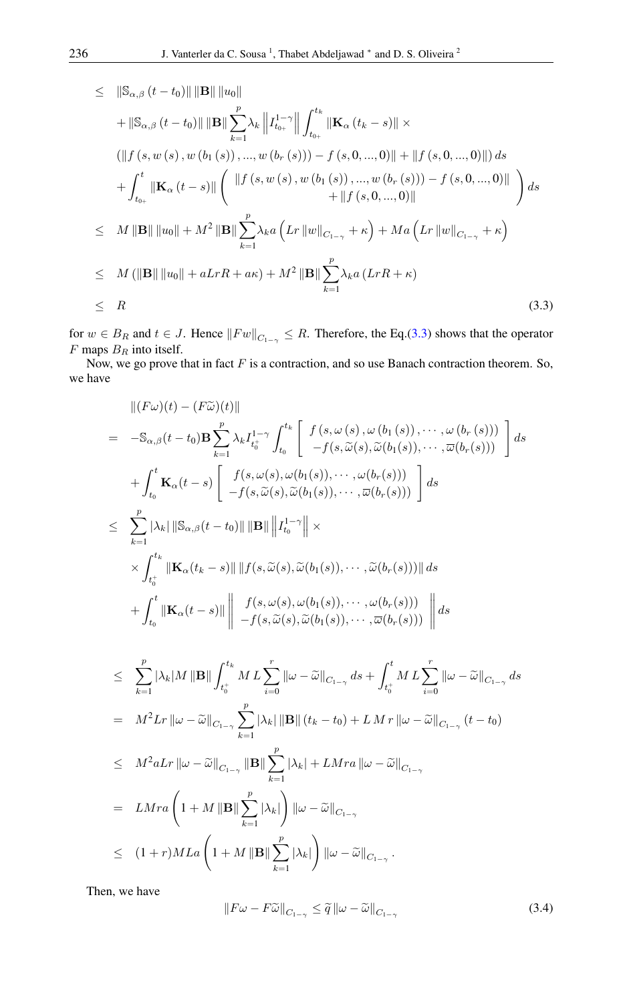<span id="page-7-0"></span>
$$
\leq \|\mathbf{S}_{\alpha,\beta}(t-t_0)\| \|\mathbf{B}\| \|u_0\| \n+ \|\mathbf{S}_{\alpha,\beta}(t-t_0)\| \|\mathbf{B}\| \sum_{k=1}^p \lambda_k \|I_{t_{0+}}^{1-\gamma}\| \int_{t_{0+}}^{t_k} \|\mathbf{K}_{\alpha}(t_k-s)\| \times \n(\|f(s, w(s), w(b_1(s)), ..., w(b_r(s))) - f(s, 0, ..., 0)\| + \|f(s, 0, ..., 0)\|) ds \n+ \int_{t_{0+}}^t \|\mathbf{K}_{\alpha}(t-s)\| \left( \|f(s, w(s), w(b_1(s)), ..., w(b_r(s))) - f(s, 0, ..., 0)\| + \|f(s, 0, ..., 0)\| + \|f(s, 0, ..., 0)\| \right) ds \n\leq M \|\mathbf{B}\| \|u_0\| + M^2 \|\mathbf{B}\| \sum_{k=1}^p \lambda_k a \left( Lr \|w\|_{C_{1-\gamma}} + \kappa \right) + Ma \left( Lr \|w\|_{C_{1-\gamma}} + \kappa \right) \n\leq M (\|\mathbf{B}\| \|u_0\| + aLrR + a\kappa) + M^2 \|\mathbf{B}\| \sum_{k=1}^p \lambda_k a (LrR + \kappa) \n\leq R
$$
\n(3.3)

for  $w \in B_R$  and  $t \in J$ . Hence  $||Fw||_{C_{1-\gamma}} \leq R$ . Therefore, the Eq.[\(3.3\)](#page-7-0) shows that the operator  $F$  maps  $B_R$  into itself.

Now, we go prove that in fact  $F$  is a contraction, and so use Banach contraction theorem. So, we have

$$
\begin{split}\n&\| (F\omega)(t) - (F\widetilde{\omega})(t) \| \\
&= -\mathbb{S}_{\alpha,\beta}(t-t_0) \mathbf{B} \sum_{k=1}^{p} \lambda_k I_{t_0}^{1-\gamma} \int_{t_0}^{t_k} \left[ f(s, \omega(s), \omega(b_1(s)), \cdots, \omega(b_r(s))) \\ -f(s, \widetilde{\omega}(s), \widetilde{\omega}(b_1(s)), \cdots, \widetilde{\omega}(b_r(s))) \right] ds \\
&+ \int_{t_0}^{t} \mathbf{K}_{\alpha}(t-s) \left[ f(s, \omega(s), \omega(b_1(s)), \cdots, \omega(b_r(s))) \\ -f(s, \widetilde{\omega}(s), \widetilde{\omega}(b_1(s)), \cdots, \widetilde{\omega}(b_r(s))) \right] ds \\
&\leq \sum_{k=1}^{p} |\lambda_k| \|\mathbb{S}_{\alpha,\beta}(t-t_0) \| \|\mathbf{B}\| \| I_{t_0}^{1-\gamma} \| \times \\
&\times \int_{t_0^+}^{t_k} \|\mathbf{K}_{\alpha}(t_s-s) \| \| f(s, \widetilde{\omega}(s), \widetilde{\omega}(b_1(s)), \cdots, \widetilde{\omega}(b_r(s))) \| ds \\
&+ \int_{t_0}^{t} \|\mathbf{K}_{\alpha}(t-s) \| \left[ f(s, \omega(s), \omega(b_1(s)), \cdots, \omega(b_r(s))) \right] ds \\
&\leq \sum_{k=1}^{p} |\lambda_k| M \| \mathbf{B} \| \int_{t_0^+}^{t_k} M L \sum_{i=0}^r \| \omega - \widetilde{\omega} \|_{C_{1-\gamma}} ds + \int_{t_0^+}^{t} M L \sum_{i=0}^r \| \omega - \widetilde{\omega} \|_{C_{1-\gamma}} ds \\
&= M^2 L r \| \omega - \widetilde{\omega} \|_{C_{1-\gamma}} \sum_{k=1}^p |\lambda_k| \| \mathbf{B} \| (t_k - t_0) + L M r \| \omega - \widetilde{\omega} \|_{C_{1-\gamma}} (t - t_0) \\
&\leq M^2 a L r \| \omega - \widetilde{\omega} \|_{C_{1-\gamma}} \| \mathbf{B} \| \sum_{k=1}^p |\lambda_k| + L M r a \| \omega - \widetilde{\omega} \|_{C_{1-\gamma}} \\
&= L M r a \left( 1 + M \| \mathbf{B} \| \sum_{k=1}^p |\
$$

Then, we have

<span id="page-7-1"></span>
$$
||F\omega - F\widetilde{\omega}||_{C_{1-\gamma}} \leq \widetilde{q}||\omega - \widetilde{\omega}||_{C_{1-\gamma}}
$$
\n(3.4)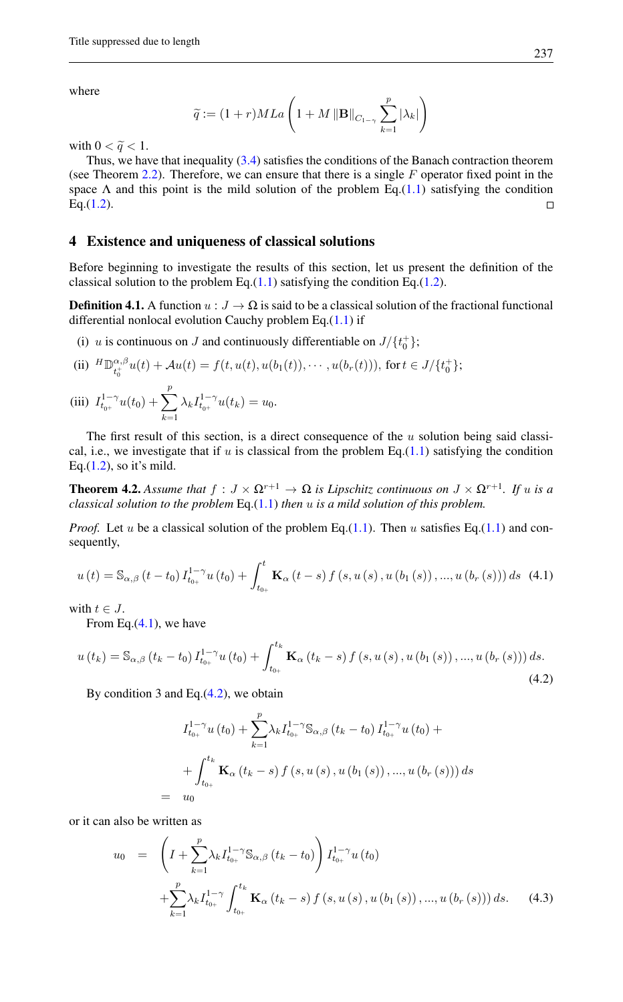where

$$
\widetilde{q} := (1+r)MLa\left(1+M\left\|\mathbf{B}\right\|_{C_{1-\gamma}}\sum_{k=1}^p|\lambda_k|\right)
$$

with  $0 < \widetilde{q} < 1$ .

Thus, we have that inequality [\(3.4\)](#page-7-1) satisfies the conditions of the Banach contraction theorem (see Theorem  $2.2$ ). Therefore, we can ensure that there is a single  $F$  operator fixed point in the space  $\Lambda$  and this point is the mild solution of the problem Eq.[\(1.1\)](#page-1-0) satisfying the condition Eq.[\(1.2\)](#page-1-1).  $\Box$ 

## 4 Existence and uniqueness of classical solutions

Before beginning to investigate the results of this section, let us present the definition of the classical solution to the problem Eq. $(1.1)$  satisfying the condition Eq. $(1.2)$ .

**Definition 4.1.** A function  $u : J \to \Omega$  is said to be a classical solution of the fractional functional differential nonlocal evolution Cauchy problem Eq.[\(1.1\)](#page-1-0) if

(i) u is continuous on J and continuously differentiable on  $J/\lbrace t_0^+ \rbrace$ ;

(ii) 
$$
{}^{H}\mathbb{D}_{t_{0}^{+}}^{\alpha,\beta}u(t) + \mathcal{A}u(t) = f(t, u(t), u(b_{1}(t)), \cdots, u(b_{r}(t))), \text{ for } t \in J/\{t_{0}^{+}\};
$$

(iii) 
$$
I_{t_{0^+}}^{1-\gamma}u(t_0) + \sum_{k=1}^p \lambda_k I_{t_{0^+}}^{1-\gamma}u(t_k) = u_0.
$$

The first result of this section, is a direct consequence of the  $u$  solution being said classical, i.e., we investigate that if u is classical from the problem Eq. $(1.1)$  satisfying the condition Eq. $(1.2)$ , so it's mild.

<span id="page-8-0"></span>**Theorem 4.2.** Assume that  $f: J \times \Omega^{r+1} \to \Omega$  is Lipschitz continuous on  $J \times \Omega^{r+1}$ . If u is a *classical solution to the problem* Eq.[\(1.1\)](#page-1-0) *then* u *is a mild solution of this problem.*

*Proof.* Let u be a classical solution of the problem Eq.[\(1.1\)](#page-1-0). Then u satisfies Eq.(1.1) and consequently,

<span id="page-8-1"></span>
$$
u(t) = S_{\alpha,\beta}(t - t_0) I_{t_{0+}}^{1-\gamma} u(t_0) + \int_{t_{0+}}^t \mathbf{K}_{\alpha}(t - s) f(s, u(s), u(b_1(s)), ..., u(b_r(s))) ds
$$
 (4.1)

with  $t \in J$ .

From Eq. $(4.1)$ , we have

$$
u(t_{k}) = \mathbb{S}_{\alpha,\beta}(t_{k} - t_{0}) I_{t_{0+}}^{1-\gamma} u(t_{0}) + \int_{t_{0+}}^{t_{k}} \mathbf{K}_{\alpha}(t_{k} - s) f(s, u(s), u(b_{1}(s)), ..., u(b_{r}(s))) ds.
$$
\n(4.2)

By condition 3 and Eq. $(4.2)$ , we obtain

<span id="page-8-2"></span>
$$
I_{t_{0+}}^{1-\gamma}u(t_0) + \sum_{k=1}^{p} \lambda_k I_{t_{0+}}^{1-\gamma} \mathbb{S}_{\alpha,\beta}(t_k - t_0) I_{t_{0+}}^{1-\gamma}u(t_0) +
$$
  
+ 
$$
\int_{t_{0+}}^{t_k} \mathbf{K}_{\alpha}(t_k - s) f(s, u(s), u(b_1(s)), ..., u(b_r(s))) ds
$$
  

$$
u_0
$$

or it can also be written as

= u<sup>0</sup>

<span id="page-8-3"></span>
$$
u_0 = \left(I + \sum_{k=1}^p \lambda_k I_{t_{0+}}^{1-\gamma} \mathbb{S}_{\alpha,\beta} (t_k - t_0) \right) I_{t_{0+}}^{1-\gamma} u(t_0)
$$
  
+ 
$$
\sum_{k=1}^p \lambda_k I_{t_{0+}}^{1-\gamma} \int_{t_{0+}}^{t_k} \mathbf{K}_{\alpha} (t_k - s) f(s, u(s), u(b_1(s)), ..., u(b_r(s))) ds. \quad (4.3)
$$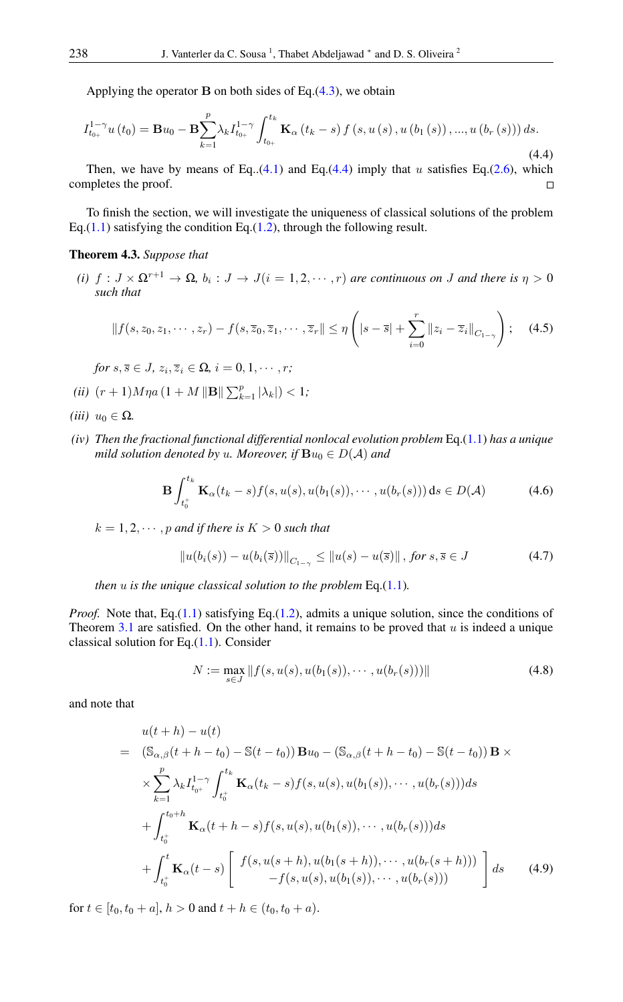<span id="page-9-1"></span>Applying the operator  $\bf{B}$  on both sides of Eq.[\(4.3\)](#page-8-3), we obtain

$$
I_{t_{0+}}^{1-\gamma}u(t_0) = \mathbf{B}u_0 - \mathbf{B}\sum_{k=1}^p \lambda_k I_{t_{0+}}^{1-\gamma} \int_{t_{0+}}^{t_k} \mathbf{K}_{\alpha}(t_k - s) f(s, u(s), u(b_1(s)), ..., u(b_r(s))) ds.
$$
\n(4.4)

Then, we have by means of Eq..[\(4.1\)](#page-8-1) and Eq.[\(4.4\)](#page-9-1) imply that u satisfies Eq.[\(2.6\)](#page-5-0), which completes the proof.  $\Box$ 

To finish the section, we will investigate the uniqueness of classical solutions of the problem Eq.[\(1.1\)](#page-1-0) satisfying the condition Eq.[\(1.2\)](#page-1-1), through the following result.

#### <span id="page-9-0"></span>Theorem 4.3. *Suppose that*

*(i)*  $f: J \times \Omega^{r+1} \to \Omega$ ,  $b_i: J \to J(i = 1, 2, \dots, r)$  *are continuous on J and there is*  $\eta > 0$ *such that*

$$
|| f(s, z_0, z_1, \cdots, z_r) - f(s, \overline{z}_0, \overline{z}_1, \cdots, \overline{z}_r || \le \eta \left( |s - \overline{s}| + \sum_{i=0}^r ||z_i - \overline{z}_i||_{C_{1-\gamma}} \right); \quad (4.5)
$$

 $for s, \overline{s} \in J$ ,  $z_i, \overline{z}_i \in \Omega$ ,  $i = 0, 1, \cdots, r$ ;

- *(ii)*  $(r+1)M\eta a (1 + M \|\mathbf{B}\| \sum_{k=1}^{p} |\lambda_k|) < 1$ ;
- *(iii)*  $u_0 \in \Omega$ .
- *(iv) Then the fractional functional differential nonlocal evolution problem* Eq.[\(1.1\)](#page-1-0) *has a unique mild solution denoted by u. Moreover, if*  $\mathbf{B}u_0 \in D(\mathcal{A})$  *and*

$$
\mathbf{B} \int_{t_0^+}^{t_k} \mathbf{K}_{\alpha}(t_k - s) f(s, u(s), u(b_1(s)), \cdots, u(b_r(s))) \, ds \in D(\mathcal{A}) \tag{4.6}
$$

 $k = 1, 2, \dots, p$  *and if there is*  $K > 0$  *such that* 

<span id="page-9-2"></span>
$$
||u(b_i(s)) - u(b_i(\overline{s}))||_{C_{1-\gamma}} \le ||u(s) - u(\overline{s})|| \text{, for } s, \overline{s} \in J
$$
\n(4.7)

*then* u *is the unique classical solution to the problem* Eq.[\(1.1\)](#page-1-0)*.*

*Proof.* Note that, Eq.[\(1.1\)](#page-1-0) satisfying Eq.[\(1.2\)](#page-1-1), admits a unique solution, since the conditions of Theorem [3.1](#page-6-0) are satisfied. On the other hand, it remains to be proved that  $u$  is indeed a unique classical solution for Eq.[\(1.1\)](#page-1-0). Consider

<span id="page-9-3"></span>
$$
N := \max_{s \in J} ||f(s, u(s), u(b_1(s)), \cdots, u(b_r(s)))||
$$
\n(4.8)

and note that

<span id="page-9-4"></span>
$$
u(t+h) - u(t)
$$
  
\n
$$
= (\mathbb{S}_{\alpha,\beta}(t+h-t_0) - \mathbb{S}(t-t_0)) \mathbf{B} u_0 - (\mathbb{S}_{\alpha,\beta}(t+h-t_0) - \mathbb{S}(t-t_0)) \mathbf{B} \times
$$
  
\n
$$
\times \sum_{k=1}^{p} \lambda_k I_{t_0+}^{1-\gamma} \int_{t_0+}^{t_k} \mathbf{K}_{\alpha}(t_k-s) f(s, u(s), u(b_1(s)), \cdots, u(b_r(s))) ds
$$
  
\n
$$
+ \int_{t_0+}^{t_0+h} \mathbf{K}_{\alpha}(t+h-s) f(s, u(s), u(b_1(s)), \cdots, u(b_r(s))) ds
$$
  
\n
$$
+ \int_{t_0+}^{t} \mathbf{K}_{\alpha}(t-s) \left[ f(s, u(s+h), u(b_1(s+h)), \cdots, u(b_r(s+h))) - f(s, u(s), u(b_1(s)), \cdots, u(b_r(s))) \right] ds
$$
(4.9)

for  $t \in [t_0, t_0 + a], h > 0$  and  $t + h \in (t_0, t_0 + a).$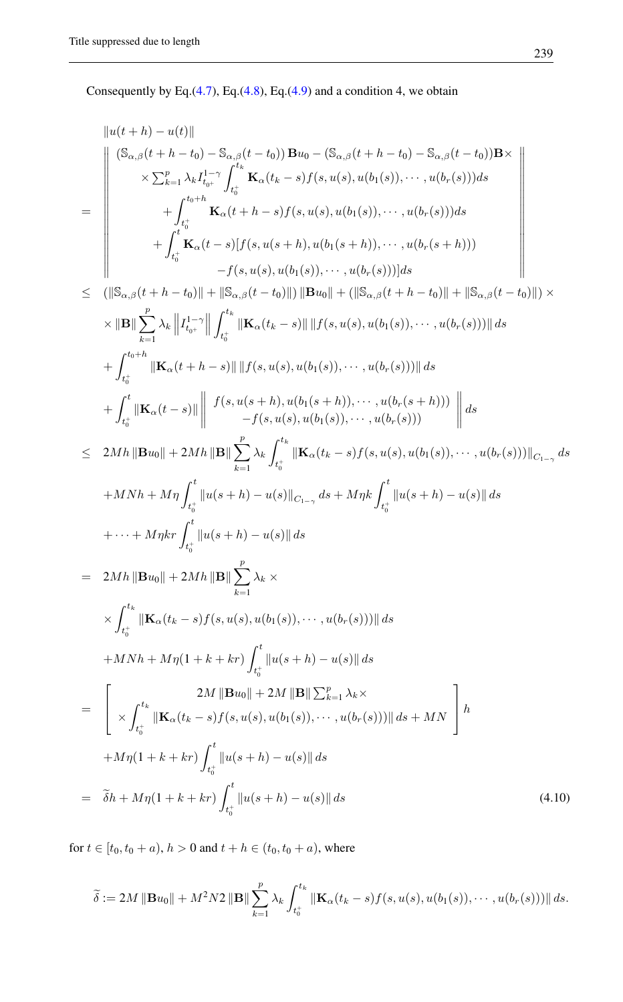Consequently by Eq. $(4.7)$ , Eq. $(4.8)$ , Eq. $(4.9)$  and a condition 4, we obtain

<span id="page-10-0"></span>
$$
\|u(t+h) - u(t)\|
$$
\n
$$
\leq \sum_{k=1}^{n} \lambda_k I_{i_0}^{1-\tau} \int_{t_0}^{t_k} K_{\alpha}(t_k - s) f(s, u(s), u(b_1(s)), \dots, u(b_r(s))) ds
$$
\n
$$
\leq \sum_{k=1}^{n} \lambda_k I_{i_0}^{1-\tau} \int_{t_0}^{t_k} K_{\alpha}(t_k - s) f(s, u(s), u(b_1(s)), \dots, u(b_r(s))) ds
$$
\n
$$
+ \int_{t_0}^{t_0 + h} K_{\alpha}(t - s) [f(s, u(s+h), u(b_1(s)), \dots, u(b_r(s))) ds
$$
\n
$$
+ \int_{t_0}^{t} K_{\alpha}(t - s) [f(s, u(s+h), u(b_1(s+h)), \dots, u(b_r(s))) ds]
$$
\n
$$
\leq (||S_{\alpha, \beta}(t + h - t_0)|| + ||S_{\alpha, \beta}(t - t_0)||) ||B u_0|| + (||S_{\alpha, \beta}(t + h - t_0)|| + ||S_{\alpha, \beta}(t - t_0)||) \times
$$
\n
$$
\times ||B|| \sum_{k=1}^{p} \lambda_k ||I_{t_0}^{1-\tau}|| \int_{t_0}^{t_k} ||K_{\alpha}(t_k - s)|| ||f(s, u(s), u(b_1(s)), \dots, u(b_r(s)))|| ds
$$
\n
$$
+ \int_{t_0}^{t_0 + h} ||K_{\alpha}(t - s)|| ||f(s, u(s), u(b_1(s)), \dots, u(b_r(s)))|| ds
$$
\n
$$
+ \int_{t_0}^{t} ||K_{\alpha}(t - s)|| \int_{-f(s, u(s), u(b_1(s)), \dots, u(b_r(s)))} ds
$$
\n
$$
+ \int_{t_0}^{t} ||K_{\alpha}(t - s)|| \int_{-f(s, u(s), u(b_1(s)), \dots, u(b_r(s)))} ds
$$
\n
$$
\leq 2Mh ||Bu_0|| + 2Mh ||B|| \sum_{k=1}^{p} \lambda_k \int_{t_0}^{t_k} ||K_{\alpha}(t_k - s) f(s, u(s), u(b_1(s)), \dots, u(b_r(s)))||_{C_{1-\tau}} ds
$$
\n
$$
+ MNh + M\eta \int_{t_0}^{t} ||u(s + h) - u(s)|| ds
$$
\

for  $t \in [t_0, t_0 + a)$ ,  $h > 0$  and  $t + h \in (t_0, t_0 + a)$ , where

$$
\widetilde{\delta} := 2M \|\mathbf{B} u_0\| + M^2 N 2 \|\mathbf{B}\| \sum_{k=1}^p \lambda_k \int_{t_0^+}^{t_k} \|\mathbf{K}_\alpha(t_k - s) f(s, u(s), u(b_1(s)), \cdots, u(b_r(s)))\| ds.
$$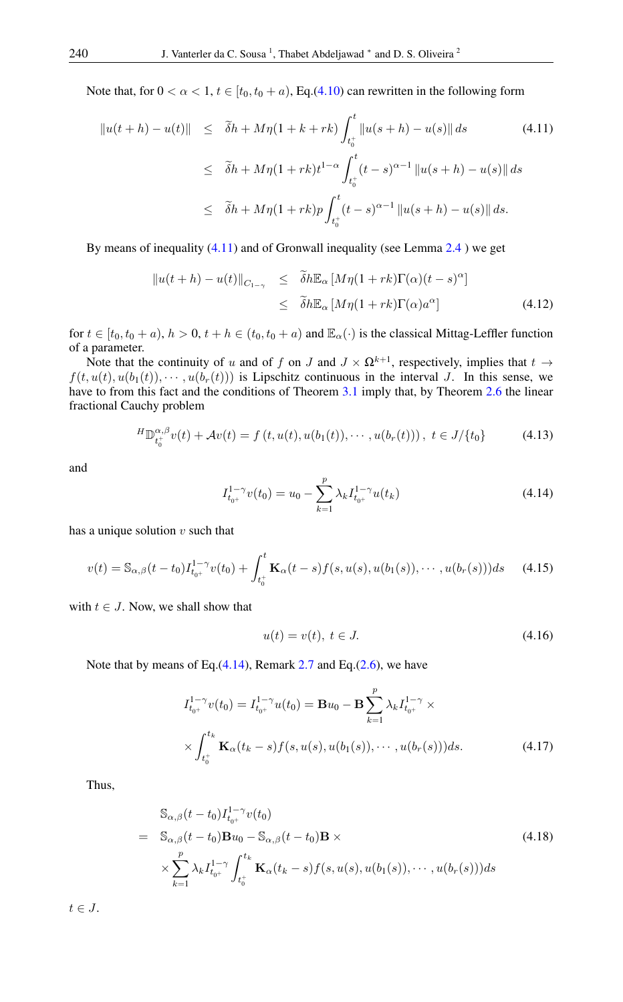Note that, for  $0 < \alpha < 1$ ,  $t \in [t_0, t_0 + a)$ , Eq.[\(4.10\)](#page-10-0) can rewritten in the following form

<span id="page-11-0"></span>
$$
\|u(t+h) - u(t)\| \leq \tilde{\delta}h + M\eta(1+k+rk) \int_{t_0^+}^t \|u(s+h) - u(s)\| ds \qquad (4.11)
$$
  

$$
\leq \tilde{\delta}h + M\eta(1+rk)t^{1-\alpha} \int_{t_0^+}^t (t-s)^{\alpha-1} \|u(s+h) - u(s)\| ds
$$
  

$$
\leq \tilde{\delta}h + M\eta(1+rk)p \int_{t_0^+}^t (t-s)^{\alpha-1} \|u(s+h) - u(s)\| ds.
$$

By means of inequality [\(4.11\)](#page-11-0) and of Gronwall inequality (see Lemma [2.4](#page-4-4) ) we get

$$
\|u(t+h) - u(t)\|_{C_{1-\gamma}} \leq \tilde{\delta}h \mathbb{E}_{\alpha} \left[M\eta(1+rk)\Gamma(\alpha)(t-s)^{\alpha}\right]
$$
  

$$
\leq \tilde{\delta}h \mathbb{E}_{\alpha} \left[M\eta(1+rk)\Gamma(\alpha)a^{\alpha}\right]
$$
(4.12)

for  $t \in [t_0, t_0 + a)$ ,  $h > 0$ ,  $t + h \in (t_0, t_0 + a)$  and  $\mathbb{E}_{\alpha}(\cdot)$  is the classical Mittag-Leffler function of a parameter.

Note that the continuity of u and of f on J and  $J \times \Omega^{k+1}$ , respectively, implies that  $t \to$  $f(t, u(t), u(b_1(t)), \cdots, u(b_r(t)))$  is Lipschitz continuous in the interval J. In this sense, we have to from this fact and the conditions of Theorem [3.1](#page-6-0) imply that, by Theorem [2.6](#page-5-3) the linear fractional Cauchy problem

$$
{}^{H}\mathbb{D}_{t_{0}^{+}}^{\alpha,\beta}v(t) + \mathcal{A}v(t) = f(t, u(t), u(b_{1}(t)), \cdots, u(b_{r}(t))), \ t \in J/\{t_{0}\} \tag{4.13}
$$

<span id="page-11-1"></span>and

<span id="page-11-2"></span>
$$
I_{t_{0^{+}}}^{1-\gamma}v(t_{0}) = u_{0} - \sum_{k=1}^{p} \lambda_{k} I_{t_{0^{+}}}^{1-\gamma}u(t_{k})
$$
\n(4.14)

has a unique solution  $v$  such that

$$
v(t) = \mathbb{S}_{\alpha,\beta}(t-t_0)I_{t_0+}^{1-\gamma}v(t_0) + \int_{t_0^+}^t \mathbf{K}_{\alpha}(t-s)f(s,u(s),u(b_1(s)),\cdots,u(b_r(s)))ds \qquad (4.15)
$$

with  $t \in J$ . Now, we shall show that

<span id="page-11-4"></span>
$$
u(t) = v(t), \ t \in J. \tag{4.16}
$$

Note that by means of Eq. $(4.14)$ , Remark [2.7](#page-5-4) and Eq. $(2.6)$ , we have

$$
I_{t_{0^{+}}}^{1-\gamma}v(t_{0}) = I_{t_{0^{+}}}^{1-\gamma}u(t_{0}) = \mathbf{B}u_{0} - \mathbf{B}\sum_{k=1}^{p} \lambda_{k} I_{t_{0^{+}}}^{1-\gamma} \times \times \int_{t_{0}^{+}}^{t_{k}} \mathbf{K}_{\alpha}(t_{k}-s) f(s, u(s), u(b_{1}(s)), \cdots, u(b_{r}(s))) ds.
$$
 (4.17)

Thus,

<span id="page-11-3"></span>
$$
\begin{split}\n&\mathbb{S}_{\alpha,\beta}(t-t_0)I_{t_{0+}}^{1-\gamma}v(t_0) \\
&= \mathbb{S}_{\alpha,\beta}(t-t_0)\mathbf{B}u_0 - \mathbb{S}_{\alpha,\beta}(t-t_0)\mathbf{B} \times \\
&\times \sum_{k=1}^p \lambda_k I_{t_{0+}}^{1-\gamma} \int_{t_0^+}^{t_k} \mathbf{K}_{\alpha}(t_k-s) f(s, u(s), u(b_1(s)), \cdots, u(b_r(s))) ds\n\end{split}
$$
\n(4.18)

 $t \in J$ .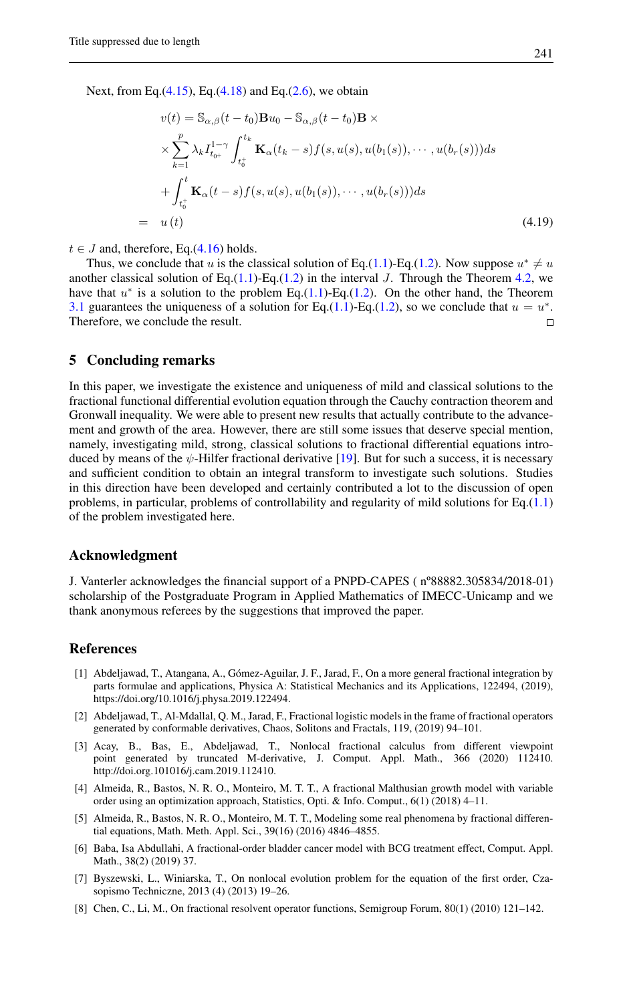Next, from Eq. $(4.15)$ , Eq. $(4.18)$  and Eq. $(2.6)$ , we obtain

$$
v(t) = \mathbb{S}_{\alpha,\beta}(t-t_0)\mathbf{B}u_0 - \mathbb{S}_{\alpha,\beta}(t-t_0)\mathbf{B} \times
$$
  
\n
$$
\times \sum_{k=1}^p \lambda_k I_{t_0+}^{1-\gamma} \int_{t_0+}^{t_k} \mathbf{K}_{\alpha}(t_k-s) f(s, u(s), u(b_1(s)), \cdots, u(b_r(s))) ds
$$
  
\n
$$
+ \int_{t_0+}^{t} \mathbf{K}_{\alpha}(t-s) f(s, u(s), u(b_1(s)), \cdots, u(b_r(s))) ds
$$
  
\n
$$
= u(t) \qquad (4.19)
$$

 $t \in J$  and, therefore, Eq.[\(4.16\)](#page-11-4) holds.

Thus, we conclude that u is the classical solution of Eq.[\(1.1\)](#page-1-0)-Eq.[\(1.2\)](#page-1-1). Now suppose  $u^* \neq u$ another classical solution of Eq.[\(1.1\)](#page-1-0)-Eq.[\(1.2\)](#page-1-1) in the interval J. Through the Theorem [4.2,](#page-8-0) we have that  $u^*$  is a solution to the problem Eq.[\(1.1\)](#page-1-0)-Eq.[\(1.2\)](#page-1-1). On the other hand, the Theorem [3.1](#page-6-0) guarantees the uniqueness of a solution for Eq.[\(1.1\)](#page-1-0)-Eq.[\(1.2\)](#page-1-1), so we conclude that  $u = u^*$ . Therefore, we conclude the result.  $\Box$ 

### 5 Concluding remarks

In this paper, we investigate the existence and uniqueness of mild and classical solutions to the fractional functional differential evolution equation through the Cauchy contraction theorem and Gronwall inequality. We were able to present new results that actually contribute to the advancement and growth of the area. However, there are still some issues that deserve special mention, namely, investigating mild, strong, classical solutions to fractional differential equations introduced by means of the  $\psi$ -Hilfer fractional derivative [\[19\]](#page-13-11). But for such a success, it is necessary and sufficient condition to obtain an integral transform to investigate such solutions. Studies in this direction have been developed and certainly contributed a lot to the discussion of open problems, in particular, problems of controllability and regularity of mild solutions for Eq.[\(1.1\)](#page-1-0) of the problem investigated here.

### Acknowledgment

J. Vanterler acknowledges the financial support of a PNPD-CAPES ( nº88882.305834/2018-01) scholarship of the Postgraduate Program in Applied Mathematics of IMECC-Unicamp and we thank anonymous referees by the suggestions that improved the paper.

## <span id="page-12-0"></span>References

- <span id="page-12-1"></span>[1] Abdeljawad, T., Atangana, A., Gómez-Aguilar, J. F., Jarad, F., On a more general fractional integration by parts formulae and applications, Physica A: Statistical Mechanics and its Applications, 122494, (2019), https://doi.org/10.1016/j.physa.2019.122494.
- <span id="page-12-3"></span>[2] Abdeljawad, T., Al-Mdallal, Q. M., Jarad, F., Fractional logistic models in the frame of fractional operators generated by conformable derivatives, Chaos, Solitons and Fractals, 119, (2019) 94–101.
- <span id="page-12-2"></span>[3] Acay, B., Bas, E., Abdeljawad, T., Nonlocal fractional calculus from different viewpoint point generated by truncated M-derivative, J. Comput. Appl. Math., 366 (2020) 112410. http://doi.org.101016/j.cam.2019.112410.
- <span id="page-12-4"></span>[4] Almeida, R., Bastos, N. R. O., Monteiro, M. T. T., A fractional Malthusian growth model with variable order using an optimization approach, Statistics, Opti. & Info. Comput., 6(1) (2018) 4–11.
- <span id="page-12-5"></span>[5] Almeida, R., Bastos, N. R. O., Monteiro, M. T. T., Modeling some real phenomena by fractional differential equations, Math. Meth. Appl. Sci., 39(16) (2016) 4846–4855.
- <span id="page-12-6"></span>[6] Baba, Isa Abdullahi, A fractional-order bladder cancer model with BCG treatment effect, Comput. Appl. Math., 38(2) (2019) 37.
- [7] Byszewski, L., Winiarska, T., On nonlocal evolution problem for the equation of the first order, Czasopismo Techniczne, 2013 (4) (2013) 19–26.
- <span id="page-12-7"></span>[8] Chen, C., Li, M., On fractional resolvent operator functions, Semigroup Forum, 80(1) (2010) 121–142.